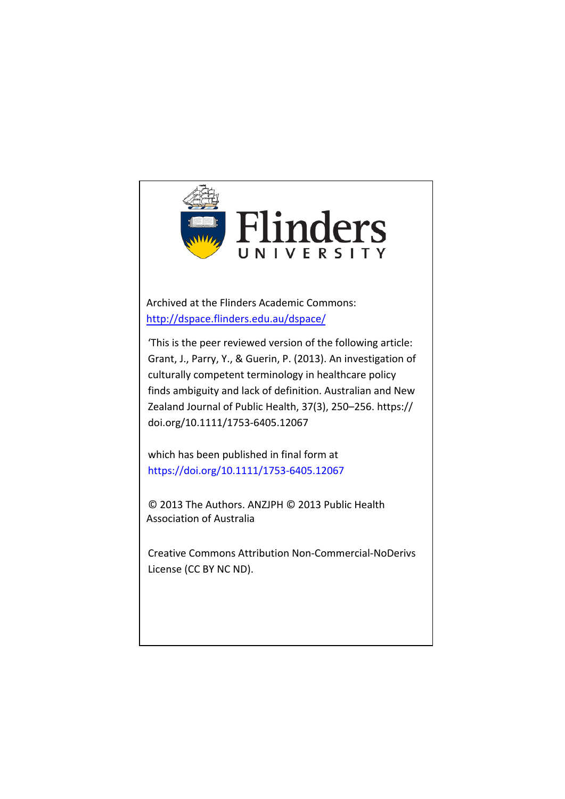

Archived at the Flinders Academic Commons: <http://dspace.flinders.edu.au/dspace/>

'This is the peer reviewed version of the following article: Grant, J., Parry, Y., & Guerin, P. (2013). An investigation of culturally competent terminology in healthcare policy finds ambiguity and lack of definition. Australian and New Zealand Journal of Public Health, 37(3), 250–256. https:// doi.org/10.1111/1753-6405.12067

which has been published in final form at https://doi.org/10.1111/1753-6405.12067

© 2013 The Authors. ANZJPH © 2013 Public Health Association of Australia

Creative Commons Attribution Non-Commercial-NoDerivs License (CC BY NC ND).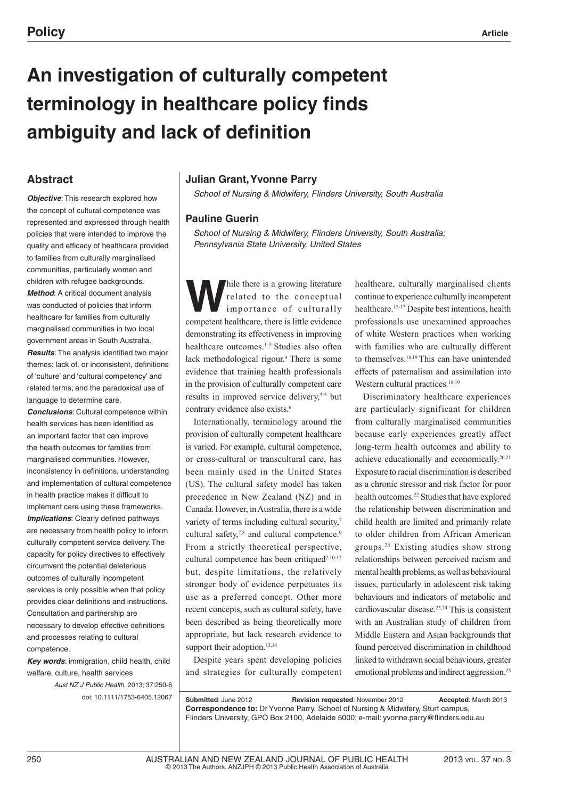# **An investigation of culturally competent terminology in healthcare policy finds ambiguity and lack of definition**

## **Abstract**

*Objective*: This research explored how the concept of cultural competence was represented and expressed through health policies that were intended to improve the quality and efficacy of healthcare provided to families from culturally marginalised communities, particularly women and children with refugee backgrounds. *Method*: A critical document analysis was conducted of policies that inform healthcare for families from culturally marginalised communities in two local government areas in South Australia. *Results*: The analysis identified two major themes: lack of, or inconsistent, definitions of 'culture' and 'cultural competency' and related terms; and the paradoxical use of language to determine care.

*Conclusions*: Cultural competence within health services has been identified as an important factor that can improve the health outcomes for families from marginalised communities. However, inconsistency in definitions, understanding and implementation of cultural competence in health practice makes it difficult to implement care using these frameworks. **Implications:** Clearly defined pathways are necessary from health policy to inform culturally competent service delivery. The capacity for policy directives to effectively circumvent the potential deleterious outcomes of culturally incompetent services is only possible when that policy provides clear definitions and instructions. Consultation and partnership are necessary to develop effective definitions and processes relating to cultural competence.

*Key words*: immigration, child health, child welfare, culture, health services

*Aust NZ J Public Health.* 2013; 37:250-6 doi: 10.1111/1753-6405.12067

## **Julian Grant, Yvonne Parry**

*School of Nursing & Midwifery, Flinders University, South Australia*

## **Pauline Guerin**

*School of Nursing & Midwifery, Flinders University, South Australia; Pennsylvania State University, United States*

**W**hile there is a growing literature related to the conceptual importance of culturally competent healthcare, there is little evidence demonstrating its effectiveness in improving healthcare outcomes.<sup>1-3</sup> Studies also often lack methodological rigour.<sup>4</sup> There is some evidence that training health professionals in the provision of culturally competent care results in improved service delivery,<sup>3-5</sup> but contrary evidence also exists.<sup>6</sup>

Internationally, terminology around the provision of culturally competent healthcare is varied. For example, cultural competence, or cross-cultural or transcultural care, has been mainly used in the United States (US). The cultural safety model has taken precedence in New Zealand (NZ) and in Canada. However, in Australia, there is a wide variety of terms including cultural security,<sup>7</sup> cultural safety,<sup>7,8</sup> and cultural competence.<sup>9</sup> From a strictly theoretical perspective, cultural competence has been critiqued<sup>2,10-12</sup> but, despite limitations, the relatively stronger body of evidence perpetuates its use as a preferred concept. Other more recent concepts, such as cultural safety, have been described as being theoretically more appropriate, but lack research evidence to support their adoption.<sup>13,14</sup>

Despite years spent developing policies and strategies for culturally competent

healthcare, culturally marginalised clients continue to experience culturally incompetent healthcare.15-17 Despite best intentions, health professionals use unexamined approaches of white Western practices when working with families who are culturally different to themselves.18,19 This can have unintended effects of paternalism and assimilation into Western cultural practices.<sup>18,19</sup>

Discriminatory healthcare experiences are particularly significant for children from culturally marginalised communities because early experiences greatly affect long-term health outcomes and ability to achieve educationally and economically.20,21 Exposure to racial discrimination is described as a chronic stressor and risk factor for poor health outcomes.22 Studies that have explored the relationship between discrimination and child health are limited and primarily relate to older children from African American groups.23 Existing studies show strong relationships between perceived racism and mental health problems, as well as behavioural issues, particularly in adolescent risk taking behaviours and indicators of metabolic and cardiovascular disease.23,24 This is consistent with an Australian study of children from Middle Eastern and Asian backgrounds that found perceived discrimination in childhood linked to withdrawn social behaviours, greater emotional problems and indirect aggression.25

**Submitted**: June 2012 **Revision requested**: November 2012 **Accepted**: March 2013 **Correspondence to:** Dr Yvonne Parry, School of Nursing & Midwifery, Sturt campus, Flinders University, GPO Box 2100, Adelaide 5000; e-mail: yvonne.parry@flinders.edu.au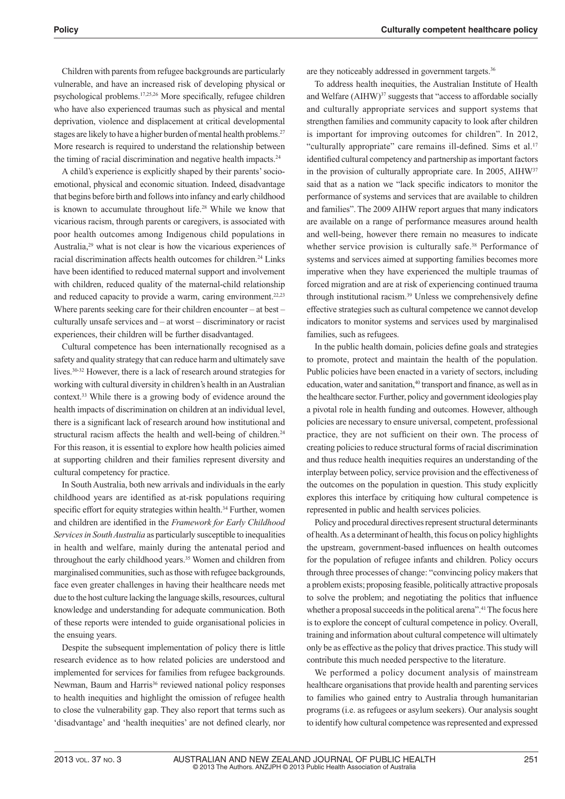Children with parents from refugee backgrounds are particularly vulnerable, and have an increased risk of developing physical or psychological problems.17,25,26 More specifically, refugee children who have also experienced traumas such as physical and mental deprivation, violence and displacement at critical developmental stages are likely to have a higher burden of mental health problems.<sup>27</sup> More research is required to understand the relationship between the timing of racial discrimination and negative health impacts.<sup>24</sup>

A child's experience is explicitly shaped by their parents' socioemotional, physical and economic situation. Indeed, disadvantage that begins before birth and follows into infancy and early childhood is known to accumulate throughout life.28 While we know that vicarious racism, through parents or caregivers, is associated with poor health outcomes among Indigenous child populations in Australia,29 what is not clear is how the vicarious experiences of racial discrimination affects health outcomes for children.24 Links have been identified to reduced maternal support and involvement with children, reduced quality of the maternal-child relationship and reduced capacity to provide a warm, caring environment.<sup>22,23</sup> Where parents seeking care for their children encounter – at best – culturally unsafe services and – at worst – discriminatory or racist experiences, their children will be further disadvantaged.

Cultural competence has been internationally recognised as a safety and quality strategy that can reduce harm and ultimately save lives.30-32 However, there is a lack of research around strategies for working with cultural diversity in children's health in an Australian context.33 While there is a growing body of evidence around the health impacts of discrimination on children at an individual level, there is a significant lack of research around how institutional and structural racism affects the health and well-being of children.<sup>24</sup> For this reason, it is essential to explore how health policies aimed at supporting children and their families represent diversity and cultural competency for practice.

In South Australia, both new arrivals and individuals in the early childhood years are identified as at-risk populations requiring specific effort for equity strategies within health.<sup>34</sup> Further, women and children are identified in the *Framework for Early Childhood Services in South Australia* as particularly susceptible to inequalities in health and welfare, mainly during the antenatal period and throughout the early childhood years.35 Women and children from marginalised communities, such as those with refugee backgrounds, face even greater challenges in having their healthcare needs met due to the host culture lacking the language skills, resources, cultural knowledge and understanding for adequate communication. Both of these reports were intended to guide organisational policies in the ensuing years.

Despite the subsequent implementation of policy there is little research evidence as to how related policies are understood and implemented for services for families from refugee backgrounds. Newman, Baum and Harris<sup>36</sup> reviewed national policy responses to health inequities and highlight the omission of refugee health to close the vulnerability gap. They also report that terms such as 'disadvantage' and 'health inequities' are not defined clearly, nor are they noticeably addressed in government targets.36

To address health inequities, the Australian Institute of Health and Welfare (AIHW)<sup>37</sup> suggests that "access to affordable socially and culturally appropriate services and support systems that strengthen families and community capacity to look after children is important for improving outcomes for children". In 2012, "culturally appropriate" care remains ill-defined. Sims et al.<sup>17</sup> identified cultural competency and partnership as important factors in the provision of culturally appropriate care. In 2005,  $AHIW<sup>37</sup>$ said that as a nation we "lack specific indicators to monitor the performance of systems and services that are available to children and families". The 2009 AIHW report argues that many indicators are available on a range of performance measures around health and well-being, however there remain no measures to indicate whether service provision is culturally safe.<sup>38</sup> Performance of systems and services aimed at supporting families becomes more imperative when they have experienced the multiple traumas of forced migration and are at risk of experiencing continued trauma through institutional racism.39 Unless we comprehensively define effective strategies such as cultural competence we cannot develop indicators to monitor systems and services used by marginalised families, such as refugees.

In the public health domain, policies define goals and strategies to promote, protect and maintain the health of the population. Public policies have been enacted in a variety of sectors, including education, water and sanitation,<sup>40</sup> transport and finance, as well as in the healthcare sector. Further, policy and government ideologies play a pivotal role in health funding and outcomes. However, although policies are necessary to ensure universal, competent, professional practice, they are not sufficient on their own. The process of creating policies to reduce structural forms of racial discrimination and thus reduce health inequities requires an understanding of the interplay between policy, service provision and the effectiveness of the outcomes on the population in question. This study explicitly explores this interface by critiquing how cultural competence is represented in public and health services policies.

Policy and procedural directives represent structural determinants of health. As a determinant of health, this focus on policy highlights the upstream, government-based influences on health outcomes for the population of refugee infants and children. Policy occurs through three processes of change: "convincing policy makers that a problem exists; proposing feasible, politically attractive proposals to solve the problem; and negotiating the politics that influence whether a proposal succeeds in the political arena".<sup>41</sup> The focus here is to explore the concept of cultural competence in policy. Overall, training and information about cultural competence will ultimately only be as effective as the policy that drives practice. This study will contribute this much needed perspective to the literature.

We performed a policy document analysis of mainstream healthcare organisations that provide health and parenting services to families who gained entry to Australia through humanitarian programs (i.e. as refugees or asylum seekers). Our analysis sought to identify how cultural competence was represented and expressed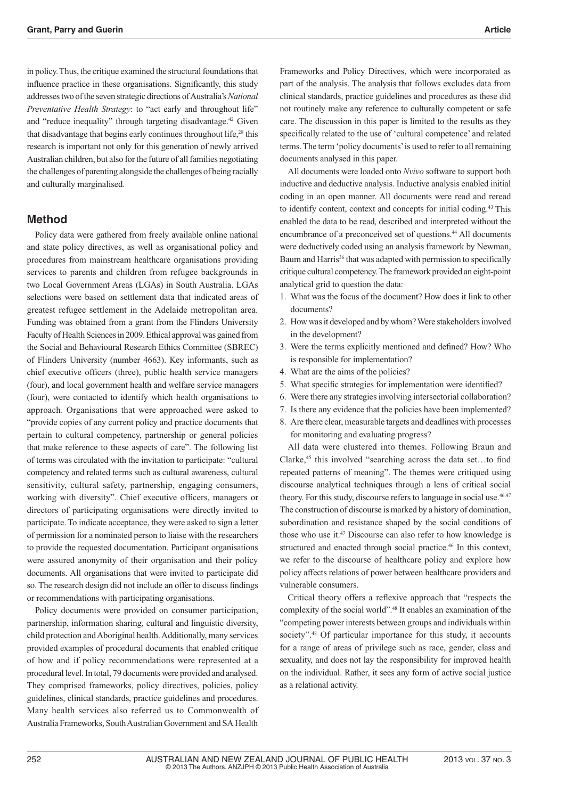in policy. Thus, the critique examined the structural foundations that influence practice in these organisations. Significantly, this study addresses two of the seven strategic directions of Australia's *National Preventative Health Strategy*: to "act early and throughout life" and "reduce inequality" through targeting disadvantage.<sup>42</sup> Given that disadvantage that begins early continues throughout life,<sup>28</sup> this research is important not only for this generation of newly arrived Australian children, but also for the future of all families negotiating the challenges of parenting alongside the challenges of being racially and culturally marginalised.

## **Method**

Policy data were gathered from freely available online national and state policy directives, as well as organisational policy and procedures from mainstream healthcare organisations providing services to parents and children from refugee backgrounds in two Local Government Areas (LGAs) in South Australia. LGAs selections were based on settlement data that indicated areas of greatest refugee settlement in the Adelaide metropolitan area. Funding was obtained from a grant from the Flinders University Faculty of Health Sciences in 2009. Ethical approval was gained from the Social and Behavioural Research Ethics Committee (SBREC) of Flinders University (number 4663). Key informants, such as chief executive officers (three), public health service managers (four), and local government health and welfare service managers (four), were contacted to identify which health organisations to approach. Organisations that were approached were asked to "provide copies of any current policy and practice documents that pertain to cultural competency, partnership or general policies that make reference to these aspects of care". The following list of terms was circulated with the invitation to participate: "cultural competency and related terms such as cultural awareness, cultural sensitivity, cultural safety, partnership, engaging consumers, working with diversity". Chief executive officers, managers or directors of participating organisations were directly invited to participate. To indicate acceptance, they were asked to sign a letter of permission for a nominated person to liaise with the researchers to provide the requested documentation. Participant organisations were assured anonymity of their organisation and their policy documents. All organisations that were invited to participate did so. The research design did not include an offer to discuss findings or recommendations with participating organisations.

Policy documents were provided on consumer participation, partnership, information sharing, cultural and linguistic diversity, child protection and Aboriginal health. Additionally, many services provided examples of procedural documents that enabled critique of how and if policy recommendations were represented at a procedural level. In total, 79 documents were provided and analysed. They comprised frameworks, policy directives, policies, policy guidelines, clinical standards, practice guidelines and procedures. Many health services also referred us to Commonwealth of Australia Frameworks, South Australian Government and SA Health

Frameworks and Policy Directives, which were incorporated as part of the analysis. The analysis that follows excludes data from clinical standards, practice guidelines and procedures as these did not routinely make any reference to culturally competent or safe care. The discussion in this paper is limited to the results as they specifically related to the use of 'cultural competence' and related terms. The term 'policy documents' is used to refer to all remaining documents analysed in this paper.

All documents were loaded onto *Nvivo* software to support both inductive and deductive analysis. Inductive analysis enabled initial coding in an open manner. All documents were read and reread to identify content, context and concepts for initial coding.43 This enabled the data to be read, described and interpreted without the encumbrance of a preconceived set of questions.44 All documents were deductively coded using an analysis framework by Newman, Baum and Harris<sup>36</sup> that was adapted with permission to specifically critique cultural competency. The framework provided an eight-point analytical grid to question the data:

- 1. What was the focus of the document? How does it link to other documents?
- 2. How was it developed and by whom? Were stakeholders involved in the development?
- 3. Were the terms explicitly mentioned and defined? How? Who is responsible for implementation?
- 4. What are the aims of the policies?
- 5. What specific strategies for implementation were identified?
- 6. Were there any strategies involving intersectorial collaboration?
- 7. Is there any evidence that the policies have been implemented?
- 8. Are there clear, measurable targets and deadlines with processes for monitoring and evaluating progress?

All data were clustered into themes. Following Braun and Clarke,<sup>45</sup> this involved "searching across the data set...to find repeated patterns of meaning". The themes were critiqued using discourse analytical techniques through a lens of critical social theory. For this study, discourse refers to language in social use.<sup>46,47</sup> The construction of discourse is marked by a history of domination, subordination and resistance shaped by the social conditions of those who use it.47 Discourse can also refer to how knowledge is structured and enacted through social practice.46 In this context, we refer to the discourse of healthcare policy and explore how policy affects relations of power between healthcare providers and vulnerable consumers.

Critical theory offers a reflexive approach that "respects the complexity of the social world".48 It enables an examination of the "competing power interests between groups and individuals within society".<sup>48</sup> Of particular importance for this study, it accounts for a range of areas of privilege such as race, gender, class and sexuality, and does not lay the responsibility for improved health on the individual. Rather, it sees any form of active social justice as a relational activity.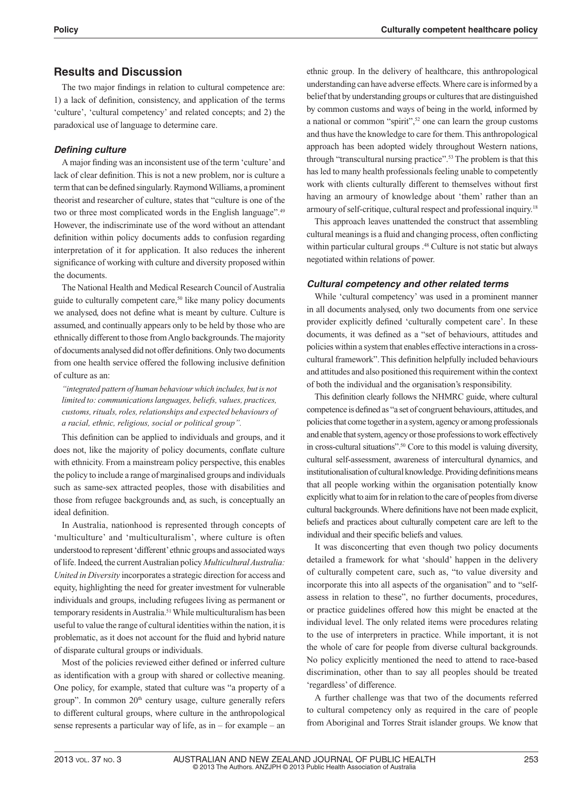### **Results and Discussion**

The two major findings in relation to cultural competence are: 1) a lack of definition, consistency, and application of the terms 'culture', 'cultural competency' and related concepts; and 2) the paradoxical use of language to determine care.

#### *Defining culture*

A major finding was an inconsistent use of the term 'culture' and lack of clear definition. This is not a new problem, nor is culture a term that can be defined singularly. Raymond Williams, a prominent theorist and researcher of culture, states that "culture is one of the two or three most complicated words in the English language".<sup>49</sup> However, the indiscriminate use of the word without an attendant definition within policy documents adds to confusion regarding interpretation of it for application. It also reduces the inherent significance of working with culture and diversity proposed within the documents.

The National Health and Medical Research Council of Australia guide to culturally competent care,<sup>50</sup> like many policy documents we analysed, does not define what is meant by culture. Culture is assumed, and continually appears only to be held by those who are ethnically different to those from Anglo backgrounds. The majority of documents analysed did not offer definitions. Only two documents from one health service offered the following inclusive definition of culture as an:

*"integrated pattern of human behaviour which includes, but is not limited to: communications languages, beliefs, values, practices, customs, rituals, roles, relationships and expected behaviours of a racial, ethnic, religious, social or political group".* 

This definition can be applied to individuals and groups, and it does not, like the majority of policy documents, conflate culture with ethnicity. From a mainstream policy perspective, this enables the policy to include a range of marginalised groups and individuals such as same-sex attracted peoples, those with disabilities and those from refugee backgrounds and, as such, is conceptually an ideal definition.

In Australia, nationhood is represented through concepts of 'multiculture' and 'multiculturalism', where culture is often understood to represent 'different' ethnic groups and associated ways of life. Indeed, the current Australian policy *Multicultural Australia: United in Diversity* incorporates a strategic direction for access and equity, highlighting the need for greater investment for vulnerable individuals and groups, including refugees living as permanent or temporary residents in Australia.51 While multiculturalism has been useful to value the range of cultural identities within the nation, it is problematic, as it does not account for the fluid and hybrid nature of disparate cultural groups or individuals.

Most of the policies reviewed either defined or inferred culture as identification with a group with shared or collective meaning. One policy, for example, stated that culture was "a property of a group". In common 20<sup>th</sup> century usage, culture generally refers to different cultural groups, where culture in the anthropological sense represents a particular way of life, as in – for example – an ethnic group. In the delivery of healthcare, this anthropological understanding can have adverse effects. Where care is informed by a belief that by understanding groups or cultures that are distinguished by common customs and ways of being in the world, informed by a national or common "spirit",<sup>52</sup> one can learn the group customs and thus have the knowledge to care for them. This anthropological approach has been adopted widely throughout Western nations, through "transcultural nursing practice".<sup>53</sup> The problem is that this has led to many health professionals feeling unable to competently work with clients culturally different to themselves without first having an armoury of knowledge about 'them' rather than an armoury of self-critique, cultural respect and professional inquiry.18

This approach leaves unattended the construct that assembling cultural meanings is a fluid and changing process, often conflicting within particular cultural groups .<sup>48</sup> Culture is not static but always negotiated within relations of power.

#### *Cultural competency and other related terms*

While 'cultural competency' was used in a prominent manner in all documents analysed, only two documents from one service provider explicitly defined 'culturally competent care'. In these documents, it was defined as a "set of behaviours, attitudes and policies within a system that enables effective interactions in a crosscultural framework". This definition helpfully included behaviours and attitudes and also positioned this requirement within the context of both the individual and the organisation's responsibility.

This definition clearly follows the NHMRC guide, where cultural competence is defined as "a set of congruent behaviours, attitudes, and policies that come together in a system, agency or among professionals and enable that system, agency or those professions to work effectively in cross-cultural situations".50 Core to this model is valuing diversity, cultural self-assessment, awareness of intercultural dynamics, and institutionalisation of cultural knowledge. Providing definitions means that all people working within the organisation potentially know explicitly what to aim for in relation to the care of peoples from diverse cultural backgrounds. Where definitions have not been made explicit, beliefs and practices about culturally competent care are left to the individual and their specific beliefs and values.

It was disconcerting that even though two policy documents detailed a framework for what 'should' happen in the delivery of culturally competent care, such as, "to value diversity and incorporate this into all aspects of the organisation" and to "selfassess in relation to these", no further documents, procedures, or practice guidelines offered how this might be enacted at the individual level. The only related items were procedures relating to the use of interpreters in practice. While important, it is not the whole of care for people from diverse cultural backgrounds. No policy explicitly mentioned the need to attend to race-based discrimination, other than to say all peoples should be treated 'regardless' of difference.

A further challenge was that two of the documents referred to cultural competency only as required in the care of people from Aboriginal and Torres Strait islander groups. We know that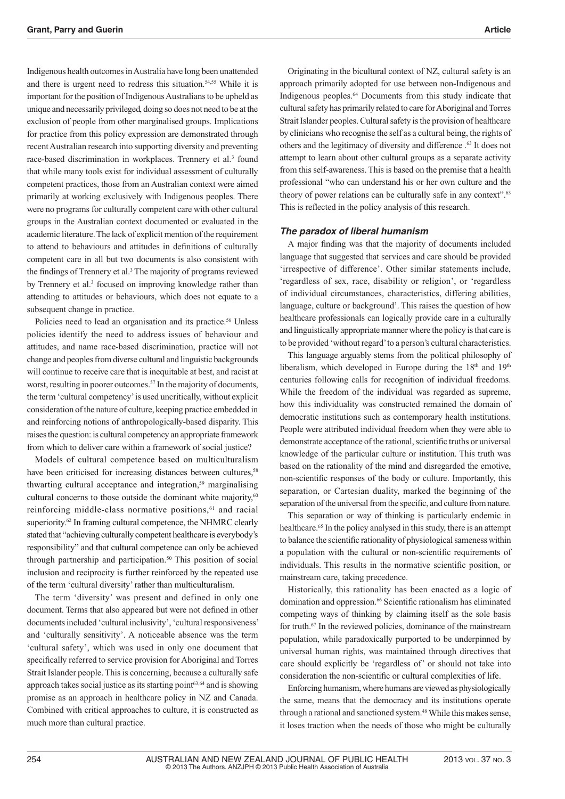Indigenous health outcomes in Australia have long been unattended and there is urgent need to redress this situation.54,55 While it is important for the position of Indigenous Australians to be upheld as unique and necessarily privileged, doing so does not need to be at the exclusion of people from other marginalised groups. Implications for practice from this policy expression are demonstrated through recent Australian research into supporting diversity and preventing race-based discrimination in workplaces. Trennery et al.<sup>3</sup> found that while many tools exist for individual assessment of culturally competent practices, those from an Australian context were aimed primarily at working exclusively with Indigenous peoples. There were no programs for culturally competent care with other cultural groups in the Australian context documented or evaluated in the academic literature. The lack of explicit mention of the requirement to attend to behaviours and attitudes in definitions of culturally competent care in all but two documents is also consistent with the findings of Trennery et al.<sup>3</sup> The majority of programs reviewed by Trennery et al.<sup>3</sup> focused on improving knowledge rather than attending to attitudes or behaviours, which does not equate to a subsequent change in practice.

Policies need to lead an organisation and its practice.<sup>56</sup> Unless policies identify the need to address issues of behaviour and attitudes, and name race-based discrimination, practice will not change and peoples from diverse cultural and linguistic backgrounds will continue to receive care that is inequitable at best, and racist at worst, resulting in poorer outcomes.<sup>57</sup> In the majority of documents, the term 'cultural competency' is used uncritically, without explicit consideration of the nature of culture, keeping practice embedded in and reinforcing notions of anthropologically-based disparity. This raises the question: is cultural competency an appropriate framework from which to deliver care within a framework of social justice?

Models of cultural competence based on multiculturalism have been criticised for increasing distances between cultures,<sup>58</sup> thwarting cultural acceptance and integration.<sup>59</sup> marginalising cultural concerns to those outside the dominant white majority,<sup>60</sup> reinforcing middle-class normative positions,<sup>61</sup> and racial superiority.<sup>62</sup> In framing cultural competence, the NHMRC clearly stated that "achieving culturally competent healthcare is everybody's responsibility" and that cultural competence can only be achieved through partnership and participation.<sup>50</sup> This position of social inclusion and reciprocity is further reinforced by the repeated use of the term 'cultural diversity' rather than multiculturalism.

The term 'diversity' was present and defined in only one document. Terms that also appeared but were not defined in other documents included 'cultural inclusivity', 'cultural responsiveness' and 'culturally sensitivity'. A noticeable absence was the term 'cultural safety', which was used in only one document that specifically referred to service provision for Aboriginal and Torres Strait Islander people. This is concerning, because a culturally safe approach takes social justice as its starting point<sup>63,64</sup> and is showing promise as an approach in healthcare policy in NZ and Canada. Combined with critical approaches to culture, it is constructed as much more than cultural practice.

Originating in the bicultural context of NZ, cultural safety is an approach primarily adopted for use between non-Indigenous and Indigenous peoples.64 Documents from this study indicate that cultural safety has primarily related to care for Aboriginal and Torres Strait Islander peoples. Cultural safety is the provision of healthcare by clinicians who recognise the self as a cultural being, the rights of others and the legitimacy of diversity and difference .63 It does not attempt to learn about other cultural groups as a separate activity from this self-awareness. This is based on the premise that a health professional "who can understand his or her own culture and the theory of power relations can be culturally safe in any context".63 This is reflected in the policy analysis of this research.

#### *The paradox of liberal humanism*

A major finding was that the majority of documents included language that suggested that services and care should be provided 'irrespective of difference'. Other similar statements include, 'regardless of sex, race, disability or religion', or 'regardless of individual circumstances, characteristics, differing abilities, language, culture or background'. This raises the question of how healthcare professionals can logically provide care in a culturally and linguistically appropriate manner where the policy is that care is to be provided 'without regard' to a person's cultural characteristics.

This language arguably stems from the political philosophy of liberalism, which developed in Europe during the 18<sup>th</sup> and 19<sup>th</sup> centuries following calls for recognition of individual freedoms. While the freedom of the individual was regarded as supreme, how this individuality was constructed remained the domain of democratic institutions such as contemporary health institutions. People were attributed individual freedom when they were able to demonstrate acceptance of the rational, scientific truths or universal knowledge of the particular culture or institution. This truth was based on the rationality of the mind and disregarded the emotive, non-scientific responses of the body or culture. Importantly, this separation, or Cartesian duality, marked the beginning of the separation of the universal from the specific, and culture from nature.

This separation or way of thinking is particularly endemic in healthcare.65 In the policy analysed in this study, there is an attempt to balance the scientific rationality of physiological sameness within a population with the cultural or non-scientific requirements of individuals. This results in the normative scientific position, or mainstream care, taking precedence.

Historically, this rationality has been enacted as a logic of domination and oppression.66 Scientific rationalism has eliminated competing ways of thinking by claiming itself as the sole basis for truth.67 In the reviewed policies, dominance of the mainstream population, while paradoxically purported to be underpinned by universal human rights, was maintained through directives that care should explicitly be 'regardless of' or should not take into consideration the non-scientific or cultural complexities of life.

Enforcing humanism, where humans are viewed as physiologically the same, means that the democracy and its institutions operate through a rational and sanctioned system.<sup>48</sup> While this makes sense, it loses traction when the needs of those who might be culturally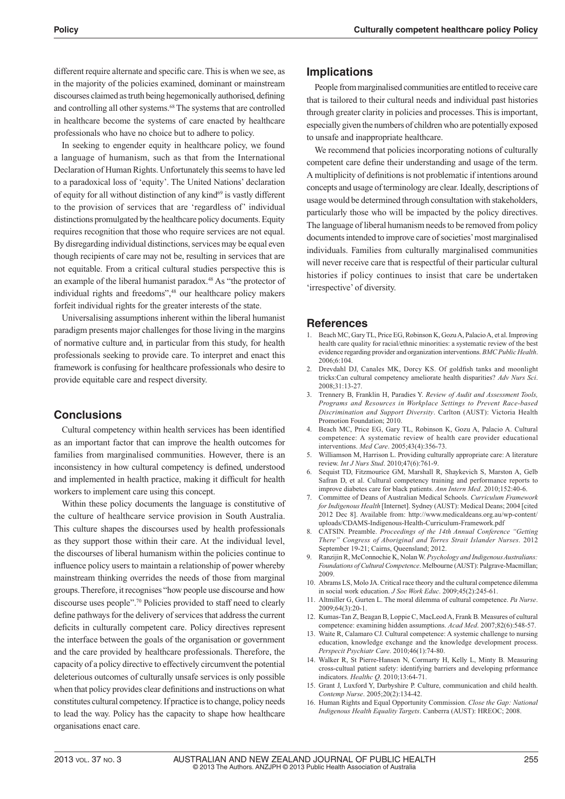different require alternate and specific care. This is when we see, as in the majority of the policies examined, dominant or mainstream discourses claimed as truth being hegemonically authorised, defining and controlling all other systems.68 The systems that are controlled in healthcare become the systems of care enacted by healthcare professionals who have no choice but to adhere to policy.

In seeking to engender equity in healthcare policy, we found a language of humanism, such as that from the International Declaration of Human Rights. Unfortunately this seems to have led to a paradoxical loss of 'equity'. The United Nations' declaration of equity for all without distinction of any kind<sup>69</sup> is vastly different to the provision of services that are 'regardless of' individual distinctions promulgated by the healthcare policy documents. Equity requires recognition that those who require services are not equal. By disregarding individual distinctions, services may be equal even though recipients of care may not be, resulting in services that are not equitable. From a critical cultural studies perspective this is an example of the liberal humanist paradox.48 As "the protector of individual rights and freedoms",<sup>48</sup> our healthcare policy makers forfeit individual rights for the greater interests of the state.

Universalising assumptions inherent within the liberal humanist paradigm presents major challenges for those living in the margins of normative culture and, in particular from this study, for health professionals seeking to provide care. To interpret and enact this framework is confusing for healthcare professionals who desire to provide equitable care and respect diversity.

## **Conclusions**

Cultural competency within health services has been identified as an important factor that can improve the health outcomes for families from marginalised communities. However, there is an inconsistency in how cultural competency is defined, understood and implemented in health practice, making it difficult for health workers to implement care using this concept.

Within these policy documents the language is constitutive of the culture of healthcare service provision in South Australia. This culture shapes the discourses used by health professionals as they support those within their care. At the individual level, the discourses of liberal humanism within the policies continue to influence policy users to maintain a relationship of power whereby mainstream thinking overrides the needs of those from marginal groups. Therefore, it recognises "how people use discourse and how discourse uses people".70 Policies provided to staff need to clearly define pathways for the delivery of services that address the current deficits in culturally competent care. Policy directives represent the interface between the goals of the organisation or government and the care provided by healthcare professionals. Therefore, the capacity of a policy directive to effectively circumvent the potential deleterious outcomes of culturally unsafe services is only possible when that policy provides clear definitions and instructions on what constitutes cultural competency. If practice is to change, policy needs to lead the way. Policy has the capacity to shape how healthcare organisations enact care.

## **Implications**

People from marginalised communities are entitled to receive care that is tailored to their cultural needs and individual past histories through greater clarity in policies and processes. This is important, especially given the numbers of children who are potentially exposed to unsafe and inappropriate healthcare.

We recommend that policies incorporating notions of culturally competent care define their understanding and usage of the term. A multiplicity of definitions is not problematic if intentions around concepts and usage of terminology are clear. Ideally, descriptions of usage would be determined through consultation with stakeholders, particularly those who will be impacted by the policy directives. The language of liberal humanism needs to be removed from policy documents intended to improve care of societies' most marginalised individuals. Families from culturally marginalised communities will never receive care that is respectful of their particular cultural histories if policy continues to insist that care be undertaken 'irrespective' of diversity.

#### **References**

- 1. Beach MC, Gary TL, Price EG, Robinson K, Gozu A, Palacio A, et al. Improving health care quality for racial/ethnic minorities: a systematic review of the best evidence regarding provider and organization interventions. *BMC Public Health*. 2006;6:104.
- 2. Drevdahl DJ, Canales MK, Dorcy KS. Of goldfish tanks and moonlight tricks:Can cultural competency ameliorate health disparities? *Adv Nurs Sci*. 2008;31:13-27.
- 3. Trennery B, Franklin H, Paradies Y. *Review of Audit and Assessment Tools, Programs and Resources in Workplace Settings to Prevent Race-based Discrimination and Support Diversity*. Carlton (AUST): Victoria Health Promotion Foundation; 2010.
- 4. Beach MC, Price EG, Gary TL, Robinson K, Gozu A, Palacio A. Cultural competence: A systematic review of health care provider educational interventions. *Med Care*. 2005;43(4):356-73.
- 5. Williamson M, Harrison L. Providing culturally appropriate care: A literature review. *Int J Nurs Stud*. 2010;47(6):761-9.
- 6. Sequist TD, Fitzmourice GM, Marshall R, Shaykevich S, Marston A, Gelb Safran D, et al. Cultural competency training and performance reports to improve diabetes care for black patients. *Ann Intern Med*. 2010;152:40-6.
- 7. Committee of Deans of Australian Medical Schools. *Curriculum Framework for Indigenous Health* [Internet]. Sydney (AUST): Medical Deans; 2004 [cited 2012 Dec 8]. Available from: http://www.medicaldeans.org.au/wp-content/ uploads/CDAMS-Indigenous-Health-Curriculum-Framework.pdf
- 8. CATSIN. Preamble. *Proceedings of the 14th Annual Conference "Getting There" Congress of Aboriginal and Torres Strait Islander Nurses*. 2012 September 19-21; Cairns, Queensland; 2012.
- 9. Ranzijin R, McConnochie K, Nolan W. *Psychology and Indigenous Australians: Foundations of Cultural Competence*. Melbourne (AUST): Palgrave-Macmillan; 2009.
- 10. Abrams LS, Molo JA. Critical race theory and the cultural competence dilemma in social work education. *J Soc Work Educ*. 2009;45(2):245-61.
- 11. Altmiller G, Gurten L. The moral dilemma of cultural competence. *Pa Nurse*. 2009;64(3):20-1.
- 12. Kumas-Tan Z, Beagan B, Loppie C, MacLeod A, Frank B. Measures of cultural competence: examining hidden assumptions. *Acad Med*. 2007;82(6):548-57.
- 13. Waite R, Calamaro CJ. Cultural competence: A systemic challenge to nursing education, knowledge exchange and the knowledge development process. *Perspecit Psychiatr Care*. 2010;46(1):74-80.
- 14. Walker R, St Pierre-Hansen N, Cormarty H, Kelly L, Minty B. Measuring cross-cultual patient safety: identifying barriers and developing prformance indicators. *Healthc Q*. 2010;13:64-71.
- 15. Grant J, Luxford Y, Darbyshire P. Culture, communication and child health. *Contemp Nurse*. 2005;20(2):134-42.
- 16. Human Rights and Equal Opportunity Commission. *Close the Gap: National Indigenous Health Equality Targets*. Canberra (AUST): HREOC; 2008.